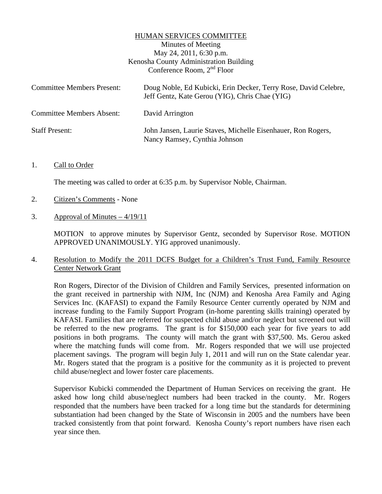#### HUMAN SERVICES COMMITTEE

Minutes of Meeting May 24, 2011, 6:30 p.m. Kenosha County Administration Building Conference Room, 2<sup>nd</sup> Floor

| <b>Committee Members Present:</b> | Doug Noble, Ed Kubicki, Erin Decker, Terry Rose, David Celebre,<br>Jeff Gentz, Kate Gerou (YIG), Chris Chae (YIG) |
|-----------------------------------|-------------------------------------------------------------------------------------------------------------------|
| <b>Committee Members Absent:</b>  | David Arrington                                                                                                   |
| <b>Staff Present:</b>             | John Jansen, Laurie Staves, Michelle Eisenhauer, Ron Rogers,<br>Nancy Ramsey, Cynthia Johnson                     |

#### 1. Call to Order

The meeting was called to order at 6:35 p.m. by Supervisor Noble, Chairman.

- 2. Citizen's Comments None
- 3. Approval of Minutes  $-4/19/11$

MOTION to approve minutes by Supervisor Gentz, seconded by Supervisor Rose. MOTION APPROVED UNANIMOUSLY. YIG approved unanimously.

# 4. Resolution to Modify the 2011 DCFS Budget for a Children's Trust Fund, Family Resource Center Network Grant

Ron Rogers, Director of the Division of Children and Family Services, presented information on the grant received in partnership with NJM, Inc (NJM) and Kenosha Area Family and Aging Services Inc. (KAFASI) to expand the Family Resource Center currently operated by NJM and increase funding to the Family Support Program (in-home parenting skills training) operated by KAFASI. Families that are referred for suspected child abuse and/or neglect but screened out will be referred to the new programs. The grant is for \$150,000 each year for five years to add positions in both programs. The county will match the grant with \$37,500. Ms. Gerou asked where the matching funds will come from. Mr. Rogers responded that we will use projected placement savings. The program will begin July 1, 2011 and will run on the State calendar year. Mr. Rogers stated that the program is a positive for the community as it is projected to prevent child abuse/neglect and lower foster care placements.

 Supervisor Kubicki commended the Department of Human Services on receiving the grant. He asked how long child abuse/neglect numbers had been tracked in the county. Mr. Rogers responded that the numbers have been tracked for a long time but the standards for determining substantiation had been changed by the State of Wisconsin in 2005 and the numbers have been tracked consistently from that point forward. Kenosha County's report numbers have risen each year since then.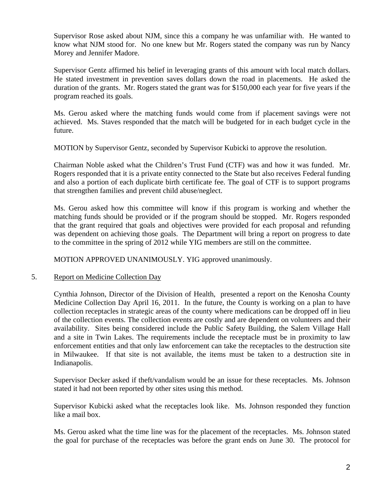Supervisor Rose asked about NJM, since this a company he was unfamiliar with. He wanted to know what NJM stood for. No one knew but Mr. Rogers stated the company was run by Nancy Morey and Jennifer Madore.

 Supervisor Gentz affirmed his belief in leveraging grants of this amount with local match dollars. He stated investment in prevention saves dollars down the road in placements. He asked the duration of the grants. Mr. Rogers stated the grant was for \$150,000 each year for five years if the program reached its goals.

 Ms. Gerou asked where the matching funds would come from if placement savings were not achieved. Ms. Staves responded that the match will be budgeted for in each budget cycle in the future.

MOTION by Supervisor Gentz, seconded by Supervisor Kubicki to approve the resolution.

 Chairman Noble asked what the Children's Trust Fund (CTF) was and how it was funded. Mr. Rogers responded that it is a private entity connected to the State but also receives Federal funding and also a portion of each duplicate birth certificate fee. The goal of CTF is to support programs that strengthen families and prevent child abuse/neglect.

 Ms. Gerou asked how this committee will know if this program is working and whether the matching funds should be provided or if the program should be stopped. Mr. Rogers responded that the grant required that goals and objectives were provided for each proposal and refunding was dependent on achieving those goals. The Department will bring a report on progress to date to the committee in the spring of 2012 while YIG members are still on the committee.

MOTION APPROVED UNANIMOUSLY. YIG approved unanimously.

### 5. Report on Medicine Collection Day

Cynthia Johnson, Director of the Division of Health, presented a report on the Kenosha County Medicine Collection Day April 16, 2011. In the future, the County is working on a plan to have collection receptacles in strategic areas of the county where medications can be dropped off in lieu of the collection events. The collection events are costly and are dependent on volunteers and their availability. Sites being considered include the Public Safety Building, the Salem Village Hall and a site in Twin Lakes. The requirements include the receptacle must be in proximity to law enforcement entities and that only law enforcement can take the receptacles to the destruction site in Milwaukee. If that site is not available, the items must be taken to a destruction site in Indianapolis.

Supervisor Decker asked if theft/vandalism would be an issue for these receptacles. Ms. Johnson stated it had not been reported by other sites using this method.

Supervisor Kubicki asked what the receptacles look like. Ms. Johnson responded they function like a mail box.

Ms. Gerou asked what the time line was for the placement of the receptacles. Ms. Johnson stated the goal for purchase of the receptacles was before the grant ends on June 30. The protocol for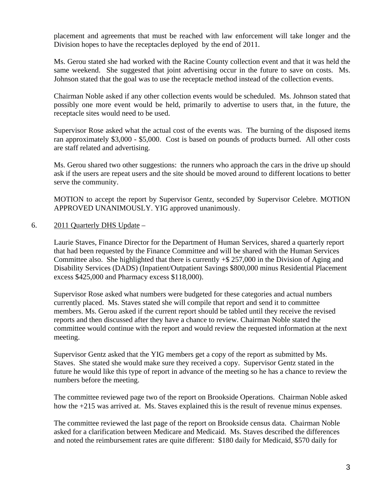placement and agreements that must be reached with law enforcement will take longer and the Division hopes to have the receptacles deployed by the end of 2011.

Ms. Gerou stated she had worked with the Racine County collection event and that it was held the same weekend. She suggested that joint advertising occur in the future to save on costs. Ms. Johnson stated that the goal was to use the receptacle method instead of the collection events.

Chairman Noble asked if any other collection events would be scheduled. Ms. Johnson stated that possibly one more event would be held, primarily to advertise to users that, in the future, the receptacle sites would need to be used.

Supervisor Rose asked what the actual cost of the events was. The burning of the disposed items ran approximately \$3,000 - \$5,000. Cost is based on pounds of products burned. All other costs are staff related and advertising.

Ms. Gerou shared two other suggestions: the runners who approach the cars in the drive up should ask if the users are repeat users and the site should be moved around to different locations to better serve the community.

MOTION to accept the report by Supervisor Gentz, seconded by Supervisor Celebre. MOTION APPROVED UNANIMOUSLY. YIG approved unanimously.

# 6. 2011 Quarterly DHS Update –

Laurie Staves, Finance Director for the Department of Human Services, shared a quarterly report that had been requested by the Finance Committee and will be shared with the Human Services Committee also. She highlighted that there is currently +\$ 257,000 in the Division of Aging and Disability Services (DADS) (Inpatient/Outpatient Savings \$800,000 minus Residential Placement excess \$425,000 and Pharmacy excess \$118,000).

Supervisor Rose asked what numbers were budgeted for these categories and actual numbers currently placed. Ms. Staves stated she will compile that report and send it to committee members. Ms. Gerou asked if the current report should be tabled until they receive the revised reports and then discussed after they have a chance to review. Chairman Noble stated the committee would continue with the report and would review the requested information at the next meeting.

Supervisor Gentz asked that the YIG members get a copy of the report as submitted by Ms. Staves. She stated she would make sure they received a copy. Supervisor Gentz stated in the future he would like this type of report in advance of the meeting so he has a chance to review the numbers before the meeting.

The committee reviewed page two of the report on Brookside Operations. Chairman Noble asked how the +215 was arrived at. Ms. Staves explained this is the result of revenue minus expenses.

The committee reviewed the last page of the report on Brookside census data. Chairman Noble asked for a clarification between Medicare and Medicaid. Ms. Staves described the differences and noted the reimbursement rates are quite different: \$180 daily for Medicaid, \$570 daily for